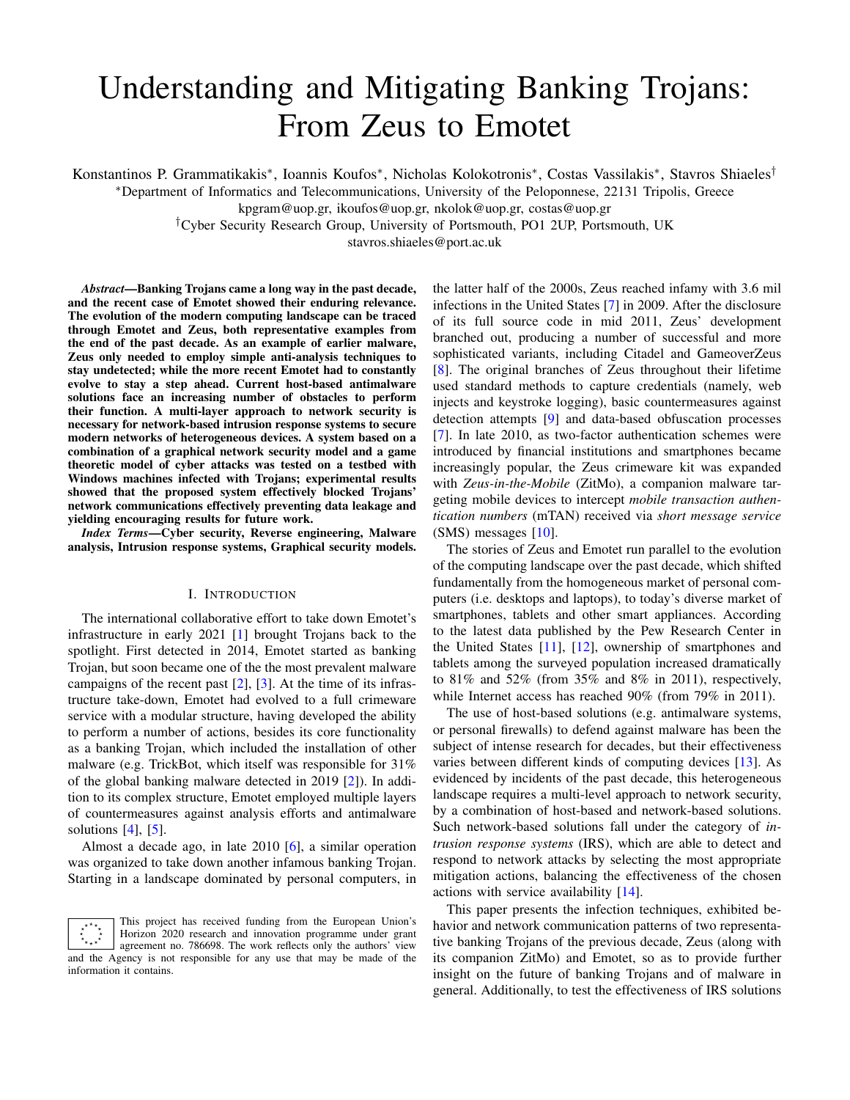# Understanding and Mitigating Banking Trojans: From Zeus to Emotet

Konstantinos P. Grammatikakis\*, Ioannis Koufos\*, Nicholas Kolokotronis\*, Costas Vassilakis\*, Stavros Shiaeles<sup>†</sup>

<sup>∗</sup>Department of Informatics and Telecommunications, University of the Peloponnese, 22131 Tripolis, Greece

kpgram@uop.gr, ikoufos@uop.gr, nkolok@uop.gr, costas@uop.gr

†Cyber Security Research Group, University of Portsmouth, PO1 2UP, Portsmouth, UK

stavros.shiaeles@port.ac.uk

*Abstract*—Banking Trojans came a long way in the past decade, and the recent case of Emotet showed their enduring relevance. The evolution of the modern computing landscape can be traced through Emotet and Zeus, both representative examples from the end of the past decade. As an example of earlier malware, Zeus only needed to employ simple anti-analysis techniques to stay undetected; while the more recent Emotet had to constantly evolve to stay a step ahead. Current host-based antimalware solutions face an increasing number of obstacles to perform their function. A multi-layer approach to network security is necessary for network-based intrusion response systems to secure modern networks of heterogeneous devices. A system based on a combination of a graphical network security model and a game theoretic model of cyber attacks was tested on a testbed with Windows machines infected with Trojans; experimental results showed that the proposed system effectively blocked Trojans' network communications effectively preventing data leakage and yielding encouraging results for future work.

*Index Terms*—Cyber security, Reverse engineering, Malware analysis, Intrusion response systems, Graphical security models.

## I. INTRODUCTION

The international collaborative effort to take down Emotet's infrastructure in early 2021 [\[1\]](#page-7-0) brought Trojans back to the spotlight. First detected in 2014, Emotet started as banking Trojan, but soon became one of the the most prevalent malware campaigns of the recent past  $[2]$ ,  $[3]$ . At the time of its infrastructure take-down, Emotet had evolved to a full crimeware service with a modular structure, having developed the ability to perform a number of actions, besides its core functionality as a banking Trojan, which included the installation of other malware (e.g. TrickBot, which itself was responsible for 31% of the global banking malware detected in 2019 [\[2\]](#page-7-1)). In addition to its complex structure, Emotet employed multiple layers of countermeasures against analysis efforts and antimalware solutions  $[4]$ ,  $[5]$ .

Almost a decade ago, in late 2010 [\[6\]](#page-7-5), a similar operation was organized to take down another infamous banking Trojan. Starting in a landscape dominated by personal computers, in

This project has received funding from the European Union's  $\begin{array}{c} \star^{\star\star}\star_\star\\ \star\\ \star_{\star\star}\star^\star \end{array}$ Horizon 2020 research and innovation programme under grant agreement no. 786698. The work reflects only the authors' view and the Agency is not responsible for any use that may be made of the information it contains.

the latter half of the 2000s, Zeus reached infamy with 3.6 mil infections in the United States [\[7\]](#page-7-6) in 2009. After the disclosure of its full source code in mid 2011, Zeus' development branched out, producing a number of successful and more sophisticated variants, including Citadel and GameoverZeus [\[8\]](#page-7-7). The original branches of Zeus throughout their lifetime used standard methods to capture credentials (namely, web injects and keystroke logging), basic countermeasures against detection attempts [\[9\]](#page-7-8) and data-based obfuscation processes [\[7\]](#page-7-6). In late 2010, as two-factor authentication schemes were introduced by financial institutions and smartphones became increasingly popular, the Zeus crimeware kit was expanded with *Zeus-in-the-Mobile* (ZitMo), a companion malware targeting mobile devices to intercept *mobile transaction authentication numbers* (mTAN) received via *short message service* (SMS) messages [\[10\]](#page-7-9).

The stories of Zeus and Emotet run parallel to the evolution of the computing landscape over the past decade, which shifted fundamentally from the homogeneous market of personal computers (i.e. desktops and laptops), to today's diverse market of smartphones, tablets and other smart appliances. According to the latest data published by the Pew Research Center in the United States [\[11\]](#page-7-10), [\[12\]](#page-7-11), ownership of smartphones and tablets among the surveyed population increased dramatically to 81% and 52% (from 35% and 8% in 2011), respectively, while Internet access has reached 90% (from 79% in 2011).

The use of host-based solutions (e.g. antimalware systems, or personal firewalls) to defend against malware has been the subject of intense research for decades, but their effectiveness varies between different kinds of computing devices [\[13\]](#page-7-12). As evidenced by incidents of the past decade, this heterogeneous landscape requires a multi-level approach to network security, by a combination of host-based and network-based solutions. Such network-based solutions fall under the category of *intrusion response systems* (IRS), which are able to detect and respond to network attacks by selecting the most appropriate mitigation actions, balancing the effectiveness of the chosen actions with service availability [\[14\]](#page-7-13).

This paper presents the infection techniques, exhibited behavior and network communication patterns of two representative banking Trojans of the previous decade, Zeus (along with its companion ZitMo) and Emotet, so as to provide further insight on the future of banking Trojans and of malware in general. Additionally, to test the effectiveness of IRS solutions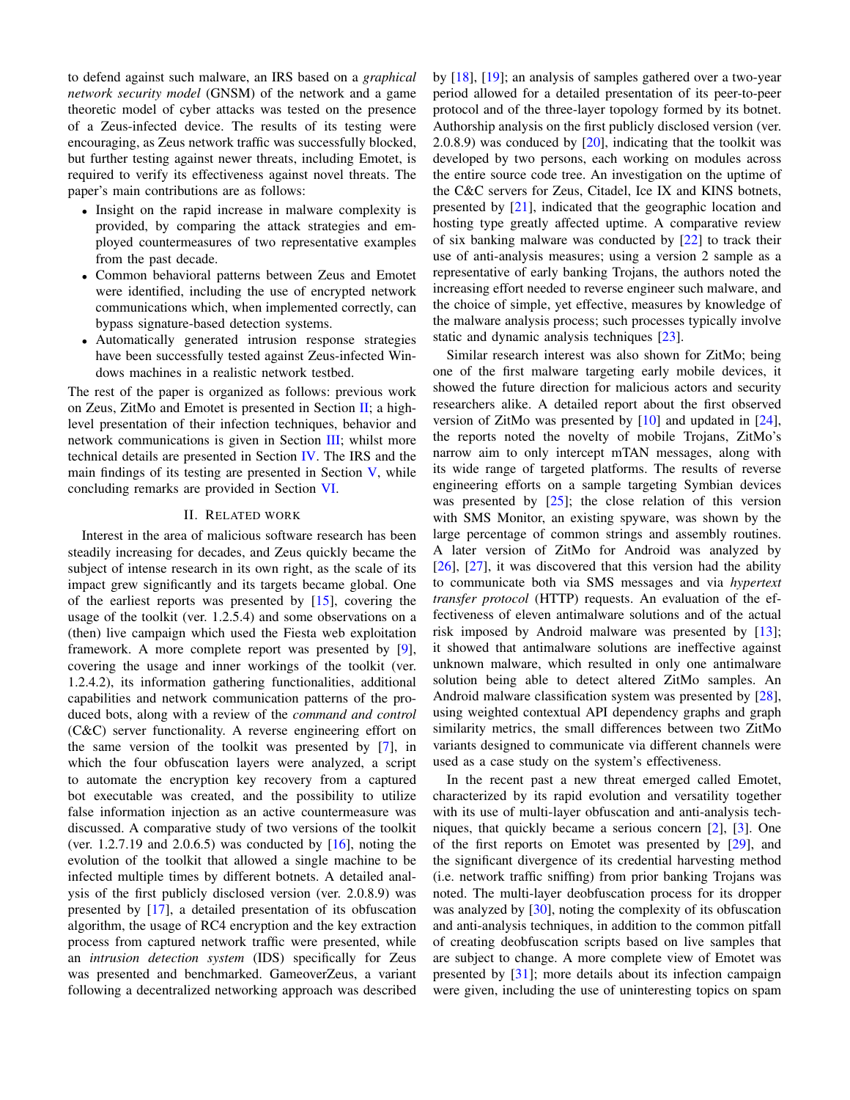to defend against such malware, an IRS based on a *graphical network security model* (GNSM) of the network and a game theoretic model of cyber attacks was tested on the presence of a Zeus-infected device. The results of its testing were encouraging, as Zeus network traffic was successfully blocked, but further testing against newer threats, including Emotet, is required to verify its effectiveness against novel threats. The paper's main contributions are as follows:

- Insight on the rapid increase in malware complexity is provided, by comparing the attack strategies and employed countermeasures of two representative examples from the past decade.
- Common behavioral patterns between Zeus and Emotet were identified, including the use of encrypted network communications which, when implemented correctly, can bypass signature-based detection systems.
- Automatically generated intrusion response strategies have been successfully tested against Zeus-infected Windows machines in a realistic network testbed.

The rest of the paper is organized as follows: previous work on Zeus, ZitMo and Emotet is presented in Section [II;](#page-1-0) a highlevel presentation of their infection techniques, behavior and network communications is given in Section [III;](#page-2-0) whilst more technical details are presented in Section [IV.](#page-3-0) The IRS and the main findings of its testing are presented in Section [V,](#page-5-0) while concluding remarks are provided in Section [VI.](#page-6-0)

#### II. RELATED WORK

<span id="page-1-0"></span>Interest in the area of malicious software research has been steadily increasing for decades, and Zeus quickly became the subject of intense research in its own right, as the scale of its impact grew significantly and its targets became global. One of the earliest reports was presented by [\[15\]](#page-7-14), covering the usage of the toolkit (ver. 1.2.5.4) and some observations on a (then) live campaign which used the Fiesta web exploitation framework. A more complete report was presented by [\[9\]](#page-7-8), covering the usage and inner workings of the toolkit (ver. 1.2.4.2), its information gathering functionalities, additional capabilities and network communication patterns of the produced bots, along with a review of the *command and control* (C&C) server functionality. A reverse engineering effort on the same version of the toolkit was presented by [\[7\]](#page-7-6), in which the four obfuscation layers were analyzed, a script to automate the encryption key recovery from a captured bot executable was created, and the possibility to utilize false information injection as an active countermeasure was discussed. A comparative study of two versions of the toolkit (ver. 1.2.7.19 and 2.0.6.5) was conducted by  $[16]$ , noting the evolution of the toolkit that allowed a single machine to be infected multiple times by different botnets. A detailed analysis of the first publicly disclosed version (ver. 2.0.8.9) was presented by [\[17\]](#page-7-16), a detailed presentation of its obfuscation algorithm, the usage of RC4 encryption and the key extraction process from captured network traffic were presented, while an *intrusion detection system* (IDS) specifically for Zeus was presented and benchmarked. GameoverZeus, a variant following a decentralized networking approach was described

by [\[18\]](#page-7-17), [\[19\]](#page-7-18); an analysis of samples gathered over a two-year period allowed for a detailed presentation of its peer-to-peer protocol and of the three-layer topology formed by its botnet. Authorship analysis on the first publicly disclosed version (ver. 2.0.8.9) was conduced by  $[20]$ , indicating that the toolkit was developed by two persons, each working on modules across the entire source code tree. An investigation on the uptime of the C&C servers for Zeus, Citadel, Ice IX and KINS botnets, presented by [\[21\]](#page-7-20), indicated that the geographic location and hosting type greatly affected uptime. A comparative review of six banking malware was conducted by [\[22\]](#page-7-21) to track their use of anti-analysis measures; using a version 2 sample as a representative of early banking Trojans, the authors noted the increasing effort needed to reverse engineer such malware, and the choice of simple, yet effective, measures by knowledge of the malware analysis process; such processes typically involve static and dynamic analysis techniques [\[23\]](#page-7-22).

Similar research interest was also shown for ZitMo; being one of the first malware targeting early mobile devices, it showed the future direction for malicious actors and security researchers alike. A detailed report about the first observed version of ZitMo was presented by [\[10\]](#page-7-9) and updated in [\[24\]](#page-7-23), the reports noted the novelty of mobile Trojans, ZitMo's narrow aim to only intercept mTAN messages, along with its wide range of targeted platforms. The results of reverse engineering efforts on a sample targeting Symbian devices was presented by  $[25]$ ; the close relation of this version with SMS Monitor, an existing spyware, was shown by the large percentage of common strings and assembly routines. A later version of ZitMo for Android was analyzed by [\[26\]](#page-7-25), [\[27\]](#page-7-26), it was discovered that this version had the ability to communicate both via SMS messages and via *hypertext transfer protocol* (HTTP) requests. An evaluation of the effectiveness of eleven antimalware solutions and of the actual risk imposed by Android malware was presented by [\[13\]](#page-7-12); it showed that antimalware solutions are ineffective against unknown malware, which resulted in only one antimalware solution being able to detect altered ZitMo samples. An Android malware classification system was presented by [\[28\]](#page-7-27), using weighted contextual API dependency graphs and graph similarity metrics, the small differences between two ZitMo variants designed to communicate via different channels were used as a case study on the system's effectiveness.

In the recent past a new threat emerged called Emotet, characterized by its rapid evolution and versatility together with its use of multi-layer obfuscation and anti-analysis techniques, that quickly became a serious concern [\[2\]](#page-7-1), [\[3\]](#page-7-2). One of the first reports on Emotet was presented by [\[29\]](#page-7-28), and the significant divergence of its credential harvesting method (i.e. network traffic sniffing) from prior banking Trojans was noted. The multi-layer deobfuscation process for its dropper was analyzed by [\[30\]](#page-7-29), noting the complexity of its obfuscation and anti-analysis techniques, in addition to the common pitfall of creating deobfuscation scripts based on live samples that are subject to change. A more complete view of Emotet was presented by [\[31\]](#page-7-30); more details about its infection campaign were given, including the use of uninteresting topics on spam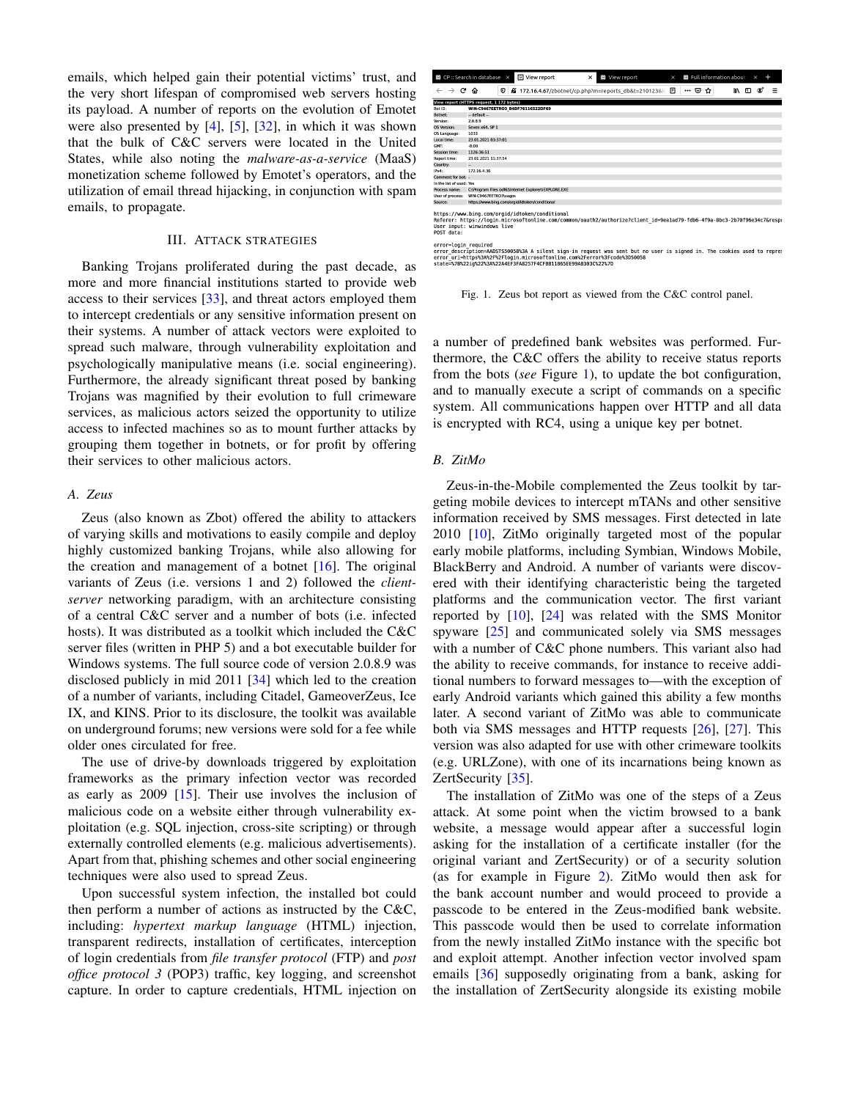emails, which helped gain their potential victims' trust, and the very short lifespan of compromised web servers hosting its payload. A number of reports on the evolution of Emotet were also presented by [\[4\]](#page-7-3), [\[5\]](#page-7-4), [\[32\]](#page-7-31), in which it was shown that the bulk of C&C servers were located in the United States, while also noting the *malware-as-a-service* (MaaS) monetization scheme followed by Emotet's operators, and the utilization of email thread hijacking, in conjunction with spam emails, to propagate.

#### III. ATTACK STRATEGIES

<span id="page-2-0"></span>Banking Trojans proliferated during the past decade, as more and more financial institutions started to provide web access to their services [\[33\]](#page-7-32), and threat actors employed them to intercept credentials or any sensitive information present on their systems. A number of attack vectors were exploited to spread such malware, through vulnerability exploitation and psychologically manipulative means (i.e. social engineering). Furthermore, the already significant threat posed by banking Trojans was magnified by their evolution to full crimeware services, as malicious actors seized the opportunity to utilize access to infected machines so as to mount further attacks by grouping them together in botnets, or for profit by offering their services to other malicious actors.

# *A. Zeus*

Zeus (also known as Zbot) offered the ability to attackers of varying skills and motivations to easily compile and deploy highly customized banking Trojans, while also allowing for the creation and management of a botnet  $[16]$ . The original variants of Zeus (i.e. versions 1 and 2) followed the *clientserver* networking paradigm, with an architecture consisting of a central C&C server and a number of bots (i.e. infected hosts). It was distributed as a toolkit which included the C&C server files (written in PHP 5) and a bot executable builder for Windows systems. The full source code of version 2.0.8.9 was disclosed publicly in mid 2011 [\[34\]](#page-7-33) which led to the creation of a number of variants, including Citadel, GameoverZeus, Ice IX, and KINS. Prior to its disclosure, the toolkit was available on underground forums; new versions were sold for a fee while older ones circulated for free.

The use of drive-by downloads triggered by exploitation frameworks as the primary infection vector was recorded as early as 2009 [\[15\]](#page-7-14). Their use involves the inclusion of malicious code on a website either through vulnerability exploitation (e.g. SQL injection, cross-site scripting) or through externally controlled elements (e.g. malicious advertisements). Apart from that, phishing schemes and other social engineering techniques were also used to spread Zeus.

Upon successful system infection, the installed bot could then perform a number of actions as instructed by the C&C, including: *hypertext markup language* (HTML) injection, transparent redirects, installation of certificates, interception of login credentials from *file transfer protocol* (FTP) and *post office protocol 3* (POP3) traffic, key logging, and screenshot capture. In order to capture credentials, HTML injection on

|                          | 图 CP :: Search in database ×             | View report                                           | <b>83</b> View report<br>×                                                                                             | $\times$ | 图 Full information about |         | $\times$ |   |
|--------------------------|------------------------------------------|-------------------------------------------------------|------------------------------------------------------------------------------------------------------------------------|----------|--------------------------|---------|----------|---|
| G<br>$\rightarrow$       | 0<br>⋒                                   |                                                       | Ø 172.16.4.67/zbotnet/cp.php?m=reports db&t=210123⁣ 图                                                                  |          | … ⊌<br>✿                 | l۱<br>т | Ø        | Ξ |
|                          | View report (HTTPS request, 1 172 bytes) |                                                       |                                                                                                                        |          |                          |         |          |   |
| Bot ID.                  | WIN-C9467EETRO3 B4DF76116522DF69         |                                                       |                                                                                                                        |          |                          |         |          |   |
| Botnet:                  | - default --                             |                                                       |                                                                                                                        |          |                          |         |          |   |
| Version:                 | 2089                                     |                                                       |                                                                                                                        |          |                          |         |          |   |
| OS Version:              | Seven x64, SP 1                          |                                                       |                                                                                                                        |          |                          |         |          |   |
| OS Language:             | 1033                                     |                                                       |                                                                                                                        |          |                          |         |          |   |
| Local time:              | 23.01.2021 03:37:01                      |                                                       |                                                                                                                        |          |                          |         |          |   |
| GMT-                     | $-8:00$                                  |                                                       |                                                                                                                        |          |                          |         |          |   |
| Session time:            | 1126:36:51                               |                                                       |                                                                                                                        |          |                          |         |          |   |
| Report time:             | 23.01.2021 11:37:54                      |                                                       |                                                                                                                        |          |                          |         |          |   |
| Country:                 | ш                                        |                                                       |                                                                                                                        |          |                          |         |          |   |
| IPv4-                    | 172 16 4 36                              |                                                       |                                                                                                                        |          |                          |         |          |   |
| Comment for bot: -       |                                          |                                                       |                                                                                                                        |          |                          |         |          |   |
| In the list of used: Yes |                                          |                                                       |                                                                                                                        |          |                          |         |          |   |
| Process name:            |                                          | C:\Program files (x86)\Internet Explorer\JEXPLORE.EXE |                                                                                                                        |          |                          |         |          |   |
| User of process:         | WIN-C9467EETRO3\vagos                    |                                                       |                                                                                                                        |          |                          |         |          |   |
| Source:                  |                                          | https://www.bing.com/orgid/idtoken/conditional        |                                                                                                                        |          |                          |         |          |   |
| POST data:               | User input: winwindows live              | https://www.bing.com/orgid/idtoken/conditional        | Referer: https://login.microsoftonline.com/common/oauth2/authorize?client id=9ea1ad79-fdb6-4f9a-8bc3-2b70f96e34c7&resp |          |                          |         |          |   |

error=login\_required<br>error\_description=AADFSS9058%3A A silent sign-in request was sent but no user is signed in. The cookies used to repre:<br>error\_uri=https%3AA2F%2Flogin.microsoftonline.com%2Ferror%3Fcod0%3D50058<br>state=%7

<span id="page-2-1"></span>Fig. 1. Zeus bot report as viewed from the C&C control panel.

a number of predefined bank websites was performed. Furthermore, the C&C offers the ability to receive status reports from the bots (*see* Figure [1\)](#page-2-1), to update the bot configuration, and to manually execute a script of commands on a specific system. All communications happen over HTTP and all data is encrypted with RC4, using a unique key per botnet.

## *B. ZitMo*

Zeus-in-the-Mobile complemented the Zeus toolkit by targeting mobile devices to intercept mTANs and other sensitive information received by SMS messages. First detected in late 2010 [\[10\]](#page-7-9), ZitMo originally targeted most of the popular early mobile platforms, including Symbian, Windows Mobile, BlackBerry and Android. A number of variants were discovered with their identifying characteristic being the targeted platforms and the communication vector. The first variant reported by [\[10\]](#page-7-9), [\[24\]](#page-7-23) was related with the SMS Monitor spyware [\[25\]](#page-7-24) and communicated solely via SMS messages with a number of C&C phone numbers. This variant also had the ability to receive commands, for instance to receive additional numbers to forward messages to—with the exception of early Android variants which gained this ability a few months later. A second variant of ZitMo was able to communicate both via SMS messages and HTTP requests [\[26\]](#page-7-25), [\[27\]](#page-7-26). This version was also adapted for use with other crimeware toolkits (e.g. URLZone), with one of its incarnations being known as ZertSecurity [\[35\]](#page-7-34).

The installation of ZitMo was one of the steps of a Zeus attack. At some point when the victim browsed to a bank website, a message would appear after a successful login asking for the installation of a certificate installer (for the original variant and ZertSecurity) or of a security solution (as for example in Figure [2\)](#page-3-1). ZitMo would then ask for the bank account number and would proceed to provide a passcode to be entered in the Zeus-modified bank website. This passcode would then be used to correlate information from the newly installed ZitMo instance with the specific bot and exploit attempt. Another infection vector involved spam emails [\[36\]](#page-7-35) supposedly originating from a bank, asking for the installation of ZertSecurity alongside its existing mobile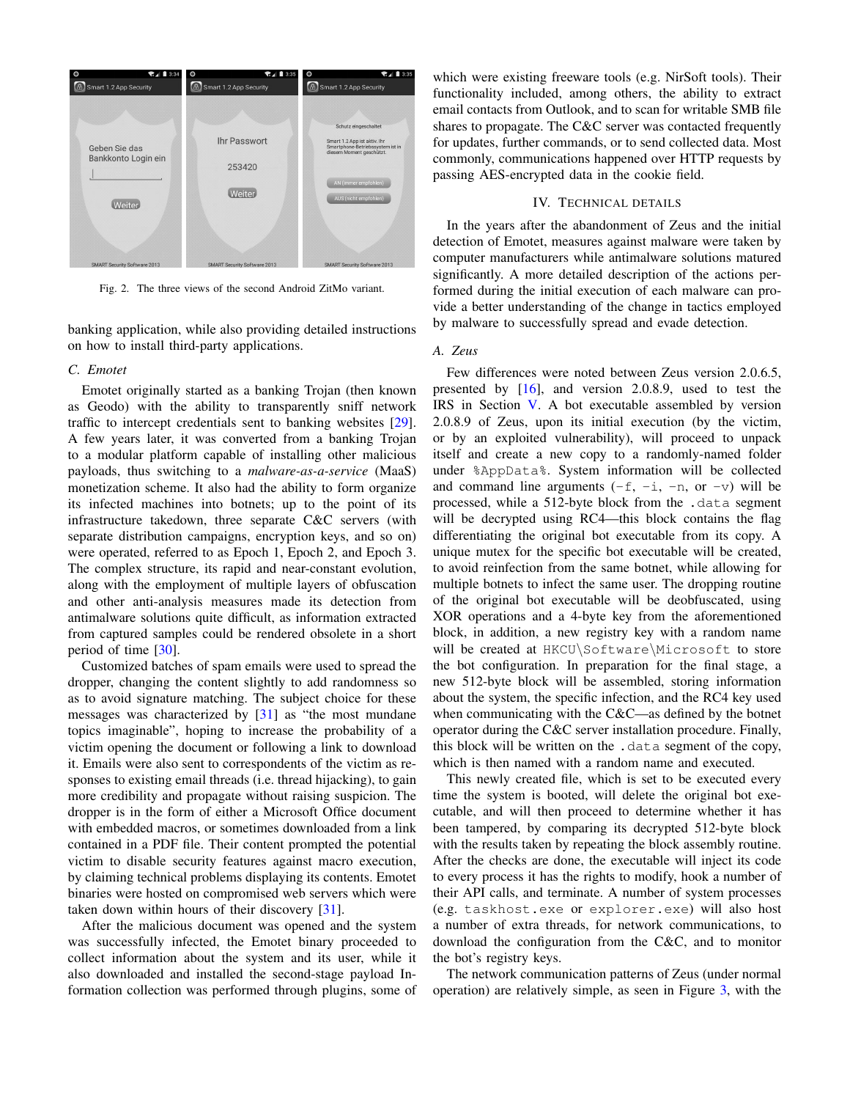

<span id="page-3-1"></span>Fig. 2. The three views of the second Android ZitMo variant.

banking application, while also providing detailed instructions on how to install third-party applications.

#### *C. Emotet*

Emotet originally started as a banking Trojan (then known as Geodo) with the ability to transparently sniff network traffic to intercept credentials sent to banking websites [\[29\]](#page-7-28). A few years later, it was converted from a banking Trojan to a modular platform capable of installing other malicious payloads, thus switching to a *malware-as-a-service* (MaaS) monetization scheme. It also had the ability to form organize its infected machines into botnets; up to the point of its infrastructure takedown, three separate C&C servers (with separate distribution campaigns, encryption keys, and so on) were operated, referred to as Epoch 1, Epoch 2, and Epoch 3. The complex structure, its rapid and near-constant evolution, along with the employment of multiple layers of obfuscation and other anti-analysis measures made its detection from antimalware solutions quite difficult, as information extracted from captured samples could be rendered obsolete in a short period of time [\[30\]](#page-7-29).

Customized batches of spam emails were used to spread the dropper, changing the content slightly to add randomness so as to avoid signature matching. The subject choice for these messages was characterized by [\[31\]](#page-7-30) as "the most mundane topics imaginable", hoping to increase the probability of a victim opening the document or following a link to download it. Emails were also sent to correspondents of the victim as responses to existing email threads (i.e. thread hijacking), to gain more credibility and propagate without raising suspicion. The dropper is in the form of either a Microsoft Office document with embedded macros, or sometimes downloaded from a link contained in a PDF file. Their content prompted the potential victim to disable security features against macro execution, by claiming technical problems displaying its contents. Emotet binaries were hosted on compromised web servers which were taken down within hours of their discovery [\[31\]](#page-7-30).

After the malicious document was opened and the system was successfully infected, the Emotet binary proceeded to collect information about the system and its user, while it also downloaded and installed the second-stage payload Information collection was performed through plugins, some of

which were existing freeware tools (e.g. NirSoft tools). Their functionality included, among others, the ability to extract email contacts from Outlook, and to scan for writable SMB file shares to propagate. The C&C server was contacted frequently for updates, further commands, or to send collected data. Most commonly, communications happened over HTTP requests by passing AES-encrypted data in the cookie field.

# IV. TECHNICAL DETAILS

<span id="page-3-0"></span>In the years after the abandonment of Zeus and the initial detection of Emotet, measures against malware were taken by computer manufacturers while antimalware solutions matured significantly. A more detailed description of the actions performed during the initial execution of each malware can provide a better understanding of the change in tactics employed by malware to successfully spread and evade detection.

## *A. Zeus*

Few differences were noted between Zeus version 2.0.6.5, presented by [\[16\]](#page-7-15), and version 2.0.8.9, used to test the IRS in Section [V.](#page-5-0) A bot executable assembled by version 2.0.8.9 of Zeus, upon its initial execution (by the victim, or by an exploited vulnerability), will proceed to unpack itself and create a new copy to a randomly-named folder under %AppData%. System information will be collected and command line arguments  $(-f, -i, -n, or -v)$  will be processed, while a 512-byte block from the .data segment will be decrypted using RC4—this block contains the flag differentiating the original bot executable from its copy. A unique mutex for the specific bot executable will be created, to avoid reinfection from the same botnet, while allowing for multiple botnets to infect the same user. The dropping routine of the original bot executable will be deobfuscated, using XOR operations and a 4-byte key from the aforementioned block, in addition, a new registry key with a random name will be created at HKCU\Software\Microsoft to store the bot configuration. In preparation for the final stage, a new 512-byte block will be assembled, storing information about the system, the specific infection, and the RC4 key used when communicating with the  $C&C$ —as defined by the botnet operator during the C&C server installation procedure. Finally, this block will be written on the .data segment of the copy, which is then named with a random name and executed.

This newly created file, which is set to be executed every time the system is booted, will delete the original bot executable, and will then proceed to determine whether it has been tampered, by comparing its decrypted 512-byte block with the results taken by repeating the block assembly routine. After the checks are done, the executable will inject its code to every process it has the rights to modify, hook a number of their API calls, and terminate. A number of system processes (e.g. taskhost.exe or explorer.exe) will also host a number of extra threads, for network communications, to download the configuration from the C&C, and to monitor the bot's registry keys.

The network communication patterns of Zeus (under normal operation) are relatively simple, as seen in Figure [3,](#page-4-0) with the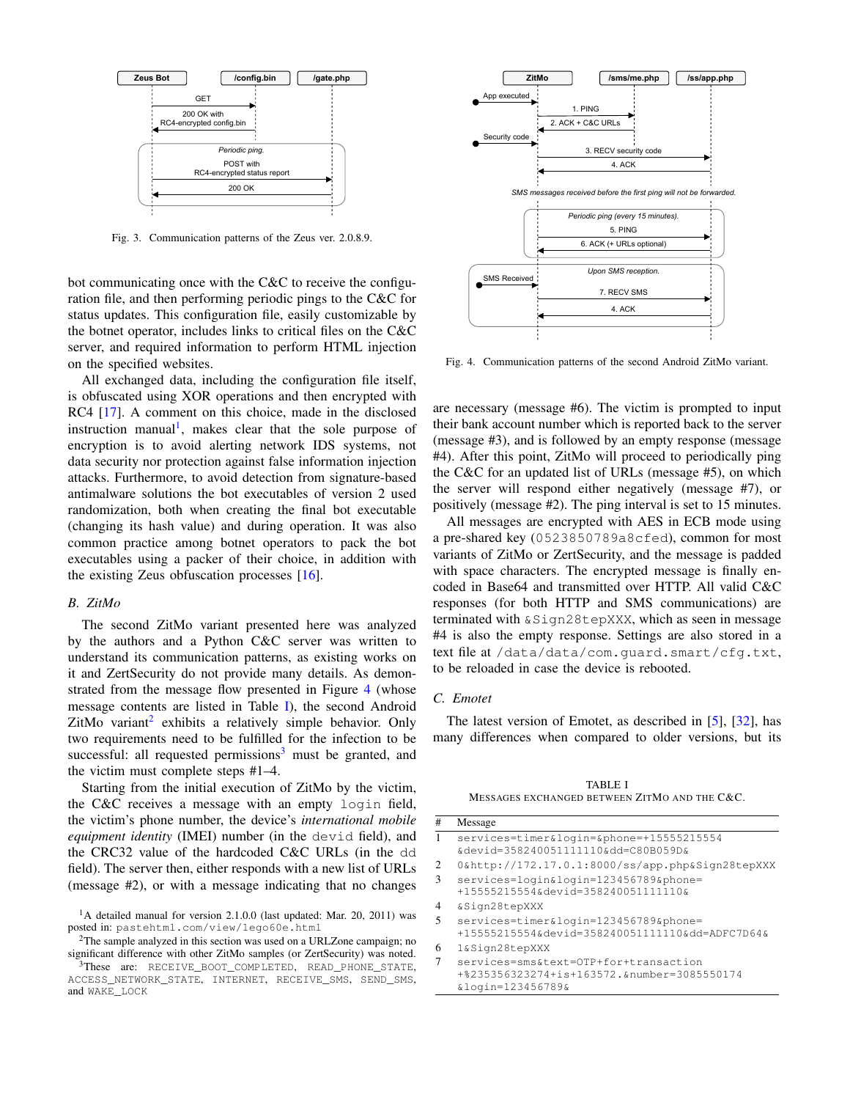

<span id="page-4-0"></span>Fig. 3. Communication patterns of the Zeus ver. 2.0.8.9.

bot communicating once with the C&C to receive the configuration file, and then performing periodic pings to the C&C for status updates. This configuration file, easily customizable by the botnet operator, includes links to critical files on the C&C server, and required information to perform HTML injection on the specified websites.

All exchanged data, including the configuration file itself, is obfuscated using XOR operations and then encrypted with RC4 [\[17\]](#page-7-16). A comment on this choice, made in the disclosed instruction manual<sup>[1](#page-4-1)</sup>, makes clear that the sole purpose of encryption is to avoid alerting network IDS systems, not data security nor protection against false information injection attacks. Furthermore, to avoid detection from signature-based antimalware solutions the bot executables of version 2 used randomization, both when creating the final bot executable (changing its hash value) and during operation. It was also common practice among botnet operators to pack the bot executables using a packer of their choice, in addition with the existing Zeus obfuscation processes [\[16\]](#page-7-15).

#### *B. ZitMo*

The second ZitMo variant presented here was analyzed by the authors and a Python C&C server was written to understand its communication patterns, as existing works on it and ZertSecurity do not provide many details. As demon-strated from the message flow presented in Figure [4](#page-4-2) (whose message contents are listed in Table [I\)](#page-4-3), the second Android ZitMo variant<sup>[2](#page-4-4)</sup> exhibits a relatively simple behavior. Only two requirements need to be fulfilled for the infection to be successful: all requested permissions<sup>[3](#page-4-5)</sup> must be granted, and the victim must complete steps #1–4.

Starting from the initial execution of ZitMo by the victim, the C&C receives a message with an empty login field, the victim's phone number, the device's *international mobile equipment identity* (IMEI) number (in the devid field), and the CRC32 value of the hardcoded C&C URLs (in the dd field). The server then, either responds with a new list of URLs (message #2), or with a message indicating that no changes



<span id="page-4-2"></span>Fig. 4. Communication patterns of the second Android ZitMo variant.

are necessary (message #6). The victim is prompted to input their bank account number which is reported back to the server (message #3), and is followed by an empty response (message #4). After this point, ZitMo will proceed to periodically ping the C&C for an updated list of URLs (message #5), on which the server will respond either negatively (message #7), or positively (message #2). The ping interval is set to 15 minutes.

All messages are encrypted with AES in ECB mode using a pre-shared key (0523850789a8cfed), common for most variants of ZitMo or ZertSecurity, and the message is padded with space characters. The encrypted message is finally encoded in Base64 and transmitted over HTTP. All valid C&C responses (for both HTTP and SMS communications) are terminated with &Sign28tepXXX, which as seen in message #4 is also the empty response. Settings are also stored in a text file at /data/data/com.guard.smart/cfg.txt, to be reloaded in case the device is rebooted.

# *C. Emotet*

The latest version of Emotet, as described in [\[5\]](#page-7-4), [\[32\]](#page-7-31), has many differences when compared to older versions, but its

TABLE I MESSAGES EXCHANGED BETWEEN ZITMO AND THE C&C.

<span id="page-4-3"></span>

| #              | Message                                                                                                   |
|----------------|-----------------------------------------------------------------------------------------------------------|
| 1              | services=timer&login=☎=+15555215554<br>&devid=358240051111110ⅆ=C80B059D&                                  |
| $\overline{c}$ | 0&http://172.17.0.1:8000/ss/app.php&Sign28tepXXX                                                          |
| 3              | services=login&login=123456789☎=<br>$+155552155546$ devid=3582400511111106                                |
| $\overline{4}$ | &Sign28tepXXX                                                                                             |
| 5              | services=timer&login=123456789☎=<br>+15555215554&devid=358240051111110ⅆ=ADFC7D64&                         |
| 6              | 1&Sign28tepXXX                                                                                            |
| 7              | services=sms&text=OTP+for+transaction<br>+%235356323274+is+163572.&number=3085550174<br>&login=123456789& |

<span id="page-4-1"></span><sup>&</sup>lt;sup>1</sup>A detailed manual for version 2.1.0.0 (last updated: Mar. 20, 2011) was posted in: pastehtml.com/view/1ego60e.html

<span id="page-4-4"></span><sup>&</sup>lt;sup>2</sup>The sample analyzed in this section was used on a URLZone campaign; no significant difference with other ZitMo samples (or ZertSecurity) was noted.

<span id="page-4-5"></span><sup>3</sup>These are: RECEIVE\_BOOT\_COMPLETED, READ\_PHONE\_STATE, ACCESS\_NETWORK\_STATE, INTERNET, RECEIVE\_SMS, SEND\_SMS, and WAKE\_LOCK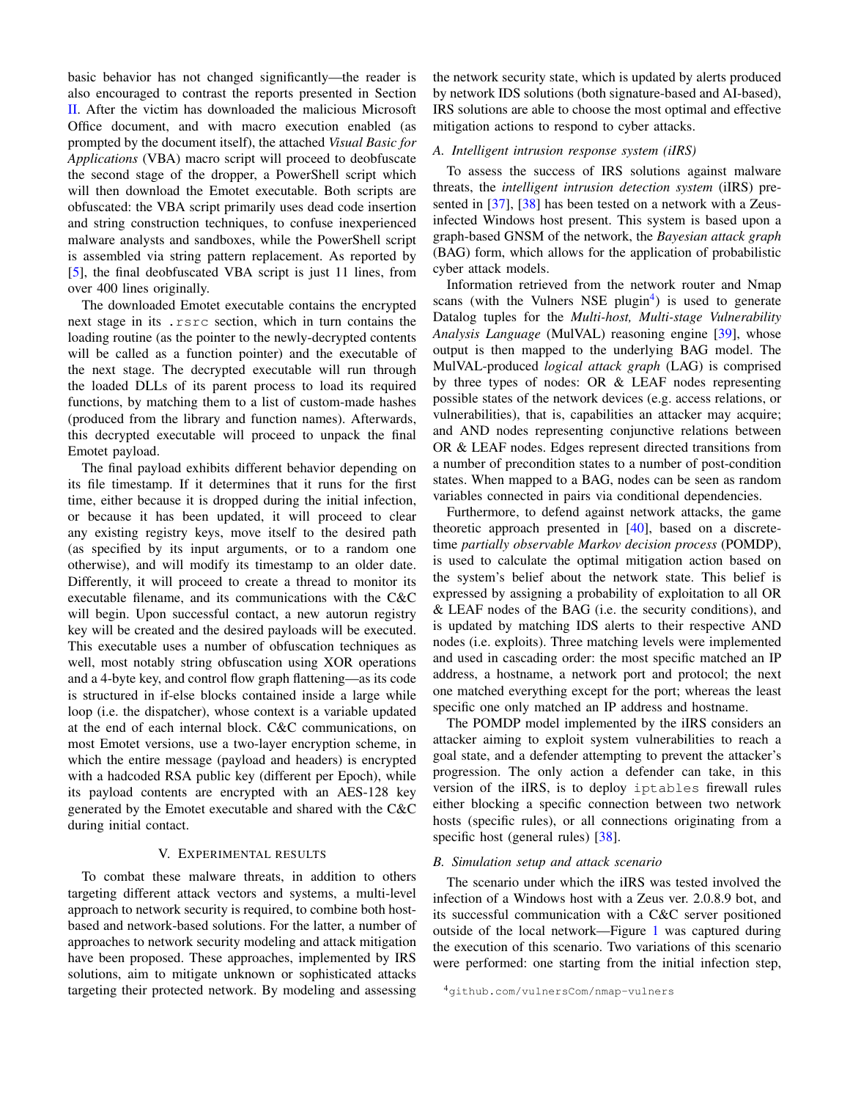basic behavior has not changed significantly—the reader is also encouraged to contrast the reports presented in Section [II.](#page-1-0) After the victim has downloaded the malicious Microsoft Office document, and with macro execution enabled (as prompted by the document itself), the attached *Visual Basic for Applications* (VBA) macro script will proceed to deobfuscate the second stage of the dropper, a PowerShell script which will then download the Emotet executable. Both scripts are obfuscated: the VBA script primarily uses dead code insertion and string construction techniques, to confuse inexperienced malware analysts and sandboxes, while the PowerShell script is assembled via string pattern replacement. As reported by [\[5\]](#page-7-4), the final deobfuscated VBA script is just 11 lines, from over 400 lines originally.

The downloaded Emotet executable contains the encrypted next stage in its .rsrc section, which in turn contains the loading routine (as the pointer to the newly-decrypted contents will be called as a function pointer) and the executable of the next stage. The decrypted executable will run through the loaded DLLs of its parent process to load its required functions, by matching them to a list of custom-made hashes (produced from the library and function names). Afterwards, this decrypted executable will proceed to unpack the final Emotet payload.

The final payload exhibits different behavior depending on its file timestamp. If it determines that it runs for the first time, either because it is dropped during the initial infection, or because it has been updated, it will proceed to clear any existing registry keys, move itself to the desired path (as specified by its input arguments, or to a random one otherwise), and will modify its timestamp to an older date. Differently, it will proceed to create a thread to monitor its executable filename, and its communications with the C&C will begin. Upon successful contact, a new autorun registry key will be created and the desired payloads will be executed. This executable uses a number of obfuscation techniques as well, most notably string obfuscation using XOR operations and a 4-byte key, and control flow graph flattening—as its code is structured in if-else blocks contained inside a large while loop (i.e. the dispatcher), whose context is a variable updated at the end of each internal block. C&C communications, on most Emotet versions, use a two-layer encryption scheme, in which the entire message (payload and headers) is encrypted with a hadcoded RSA public key (different per Epoch), while its payload contents are encrypted with an AES-128 key generated by the Emotet executable and shared with the C&C during initial contact.

## V. EXPERIMENTAL RESULTS

<span id="page-5-0"></span>To combat these malware threats, in addition to others targeting different attack vectors and systems, a multi-level approach to network security is required, to combine both hostbased and network-based solutions. For the latter, a number of approaches to network security modeling and attack mitigation have been proposed. These approaches, implemented by IRS solutions, aim to mitigate unknown or sophisticated attacks targeting their protected network. By modeling and assessing the network security state, which is updated by alerts produced by network IDS solutions (both signature-based and AI-based), IRS solutions are able to choose the most optimal and effective mitigation actions to respond to cyber attacks.

## *A. Intelligent intrusion response system (iIRS)*

To assess the success of IRS solutions against malware threats, the *intelligent intrusion detection system* (iIRS) presented in [\[37\]](#page-7-36), [\[38\]](#page-7-37) has been tested on a network with a Zeusinfected Windows host present. This system is based upon a graph-based GNSM of the network, the *Bayesian attack graph* (BAG) form, which allows for the application of probabilistic cyber attack models.

Information retrieved from the network router and Nmap scans (with the Vulners NSE plugin<sup>[4](#page-5-1)</sup>) is used to generate Datalog tuples for the *Multi-host, Multi-stage Vulnerability Analysis Language* (MulVAL) reasoning engine [\[39\]](#page-7-38), whose output is then mapped to the underlying BAG model. The MulVAL-produced *logical attack graph* (LAG) is comprised by three types of nodes: OR & LEAF nodes representing possible states of the network devices (e.g. access relations, or vulnerabilities), that is, capabilities an attacker may acquire; and AND nodes representing conjunctive relations between OR & LEAF nodes. Edges represent directed transitions from a number of precondition states to a number of post-condition states. When mapped to a BAG, nodes can be seen as random variables connected in pairs via conditional dependencies.

Furthermore, to defend against network attacks, the game theoretic approach presented in [\[40\]](#page-7-39), based on a discretetime *partially observable Markov decision process* (POMDP), is used to calculate the optimal mitigation action based on the system's belief about the network state. This belief is expressed by assigning a probability of exploitation to all OR & LEAF nodes of the BAG (i.e. the security conditions), and is updated by matching IDS alerts to their respective AND nodes (i.e. exploits). Three matching levels were implemented and used in cascading order: the most specific matched an IP address, a hostname, a network port and protocol; the next one matched everything except for the port; whereas the least specific one only matched an IP address and hostname.

The POMDP model implemented by the iIRS considers an attacker aiming to exploit system vulnerabilities to reach a goal state, and a defender attempting to prevent the attacker's progression. The only action a defender can take, in this version of the iIRS, is to deploy iptables firewall rules either blocking a specific connection between two network hosts (specific rules), or all connections originating from a specific host (general rules) [\[38\]](#page-7-37).

## *B. Simulation setup and attack scenario*

The scenario under which the iIRS was tested involved the infection of a Windows host with a Zeus ver. 2.0.8.9 bot, and its successful communication with a C&C server positioned outside of the local network—Figure [1](#page-2-1) was captured during the execution of this scenario. Two variations of this scenario were performed: one starting from the initial infection step,

<span id="page-5-1"></span><sup>4</sup>github.com/vulnersCom/nmap-vulners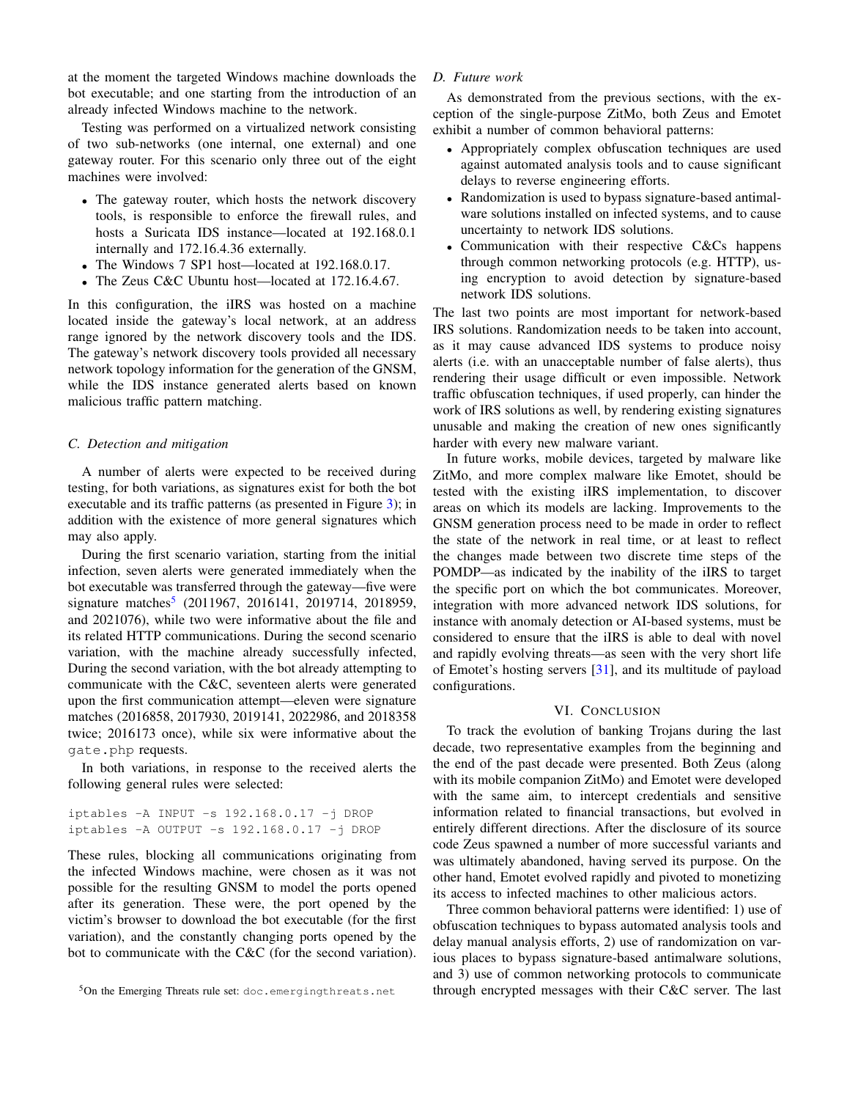at the moment the targeted Windows machine downloads the bot executable; and one starting from the introduction of an already infected Windows machine to the network.

Testing was performed on a virtualized network consisting of two sub-networks (one internal, one external) and one gateway router. For this scenario only three out of the eight machines were involved:

- The gateway router, which hosts the network discovery tools, is responsible to enforce the firewall rules, and hosts a Suricata IDS instance—located at 192.168.0.1 internally and 172.16.4.36 externally.
- The Windows 7 SP1 host—located at 192.168.0.17.
- The Zeus C&C Ubuntu host—located at 172.16.4.67.

In this configuration, the iIRS was hosted on a machine located inside the gateway's local network, at an address range ignored by the network discovery tools and the IDS. The gateway's network discovery tools provided all necessary network topology information for the generation of the GNSM, while the IDS instance generated alerts based on known malicious traffic pattern matching.

# *C. Detection and mitigation*

A number of alerts were expected to be received during testing, for both variations, as signatures exist for both the bot executable and its traffic patterns (as presented in Figure [3\)](#page-4-0); in addition with the existence of more general signatures which may also apply.

During the first scenario variation, starting from the initial infection, seven alerts were generated immediately when the bot executable was transferred through the gateway—five were signature matches<sup>[5](#page-6-1)</sup> (2011967, 2016141, 2019714, 2018959, and 2021076), while two were informative about the file and its related HTTP communications. During the second scenario variation, with the machine already successfully infected, During the second variation, with the bot already attempting to communicate with the C&C, seventeen alerts were generated upon the first communication attempt—eleven were signature matches (2016858, 2017930, 2019141, 2022986, and 2018358 twice; 2016173 once), while six were informative about the gate.php requests.

In both variations, in response to the received alerts the following general rules were selected:

iptables -A INPUT -s 192.168.0.17 -j DROP iptables -A OUTPUT -s 192.168.0.17 -j DROP

These rules, blocking all communications originating from the infected Windows machine, were chosen as it was not possible for the resulting GNSM to model the ports opened after its generation. These were, the port opened by the victim's browser to download the bot executable (for the first variation), and the constantly changing ports opened by the bot to communicate with the C&C (for the second variation).

# *D. Future work*

As demonstrated from the previous sections, with the exception of the single-purpose ZitMo, both Zeus and Emotet exhibit a number of common behavioral patterns:

- Appropriately complex obfuscation techniques are used against automated analysis tools and to cause significant delays to reverse engineering efforts.
- Randomization is used to bypass signature-based antimalware solutions installed on infected systems, and to cause uncertainty to network IDS solutions.
- Communication with their respective C&Cs happens through common networking protocols (e.g. HTTP), using encryption to avoid detection by signature-based network IDS solutions.

The last two points are most important for network-based IRS solutions. Randomization needs to be taken into account, as it may cause advanced IDS systems to produce noisy alerts (i.e. with an unacceptable number of false alerts), thus rendering their usage difficult or even impossible. Network traffic obfuscation techniques, if used properly, can hinder the work of IRS solutions as well, by rendering existing signatures unusable and making the creation of new ones significantly harder with every new malware variant.

In future works, mobile devices, targeted by malware like ZitMo, and more complex malware like Emotet, should be tested with the existing iIRS implementation, to discover areas on which its models are lacking. Improvements to the GNSM generation process need to be made in order to reflect the state of the network in real time, or at least to reflect the changes made between two discrete time steps of the POMDP—as indicated by the inability of the iIRS to target the specific port on which the bot communicates. Moreover, integration with more advanced network IDS solutions, for instance with anomaly detection or AI-based systems, must be considered to ensure that the iIRS is able to deal with novel and rapidly evolving threats—as seen with the very short life of Emotet's hosting servers [\[31\]](#page-7-30), and its multitude of payload configurations.

## VI. CONCLUSION

<span id="page-6-0"></span>To track the evolution of banking Trojans during the last decade, two representative examples from the beginning and the end of the past decade were presented. Both Zeus (along with its mobile companion ZitMo) and Emotet were developed with the same aim, to intercept credentials and sensitive information related to financial transactions, but evolved in entirely different directions. After the disclosure of its source code Zeus spawned a number of more successful variants and was ultimately abandoned, having served its purpose. On the other hand, Emotet evolved rapidly and pivoted to monetizing its access to infected machines to other malicious actors.

Three common behavioral patterns were identified: 1) use of obfuscation techniques to bypass automated analysis tools and delay manual analysis efforts, 2) use of randomization on various places to bypass signature-based antimalware solutions, and 3) use of common networking protocols to communicate through encrypted messages with their C&C server. The last

<span id="page-6-1"></span><sup>5</sup>On the Emerging Threats rule set: doc.emergingthreats.net